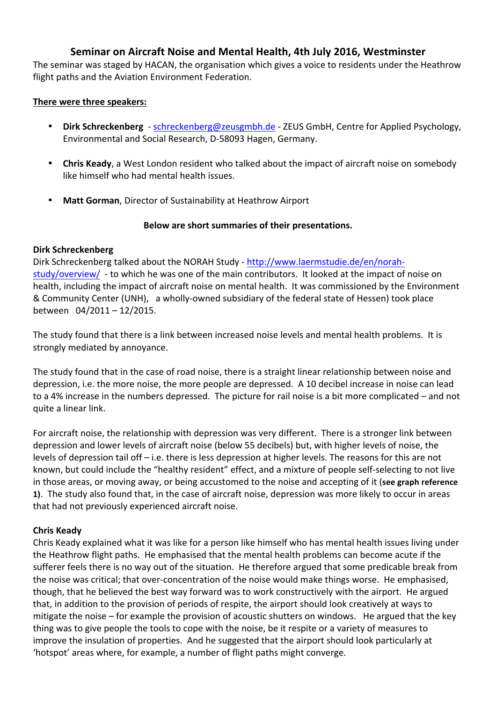## **Seminar on Aircraft Noise and Mental Health, 4th July 2016, Westminster**

The seminar was staged by HACAN, the organisation which gives a voice to residents under the Heathrow flight paths and the Aviation Environment Federation.

#### **There were three speakers:**

- **Dirk Schreckenberg** schreckenberg@zeusgmbh.de ZEUS GmbH, Centre for Applied Psychology, Environmental and Social Research, D-58093 Hagen, Germany.
- Chris Keady, a West London resident who talked about the impact of aircraft noise on somebody like himself who had mental health issues.
- Matt Gorman, Director of Sustainability at Heathrow Airport

### Below are short summaries of their presentations.

#### **Dirk Schreckenberg**

Dirk Schreckenberg talked about the NORAH Study - http://www.laermstudie.de/en/norahstudy/overview/ - to which he was one of the main contributors. It looked at the impact of noise on health, including the impact of aircraft noise on mental health. It was commissioned by the Environment & Community Center (UNH), a wholly-owned subsidiary of the federal state of Hessen) took place between 04/2011 - 12/2015.

The study found that there is a link between increased noise levels and mental health problems. It is strongly mediated by annoyance.

The study found that in the case of road noise, there is a straight linear relationship between noise and depression, i.e. the more noise, the more people are depressed. A 10 decibel increase in noise can lead to a 4% increase in the numbers depressed. The picture for rail noise is a bit more complicated – and not quite a linear link.

For aircraft noise, the relationship with depression was very different. There is a stronger link between depression and lower levels of aircraft noise (below 55 decibels) but, with higher levels of noise, the levels of depression tail off  $-$  i.e. there is less depression at higher levels. The reasons for this are not known, but could include the "healthy resident" effect, and a mixture of people self-selecting to not live in those areas, or moving away, or being accustomed to the noise and accepting of it (see graph reference **1)**. The study also found that, in the case of aircraft noise, depression was more likely to occur in areas that had not previously experienced aircraft noise.

#### **Chris Keady**

Chris Keady explained what it was like for a person like himself who has mental health issues living under the Heathrow flight paths. He emphasised that the mental health problems can become acute if the sufferer feels there is no way out of the situation. He therefore argued that some predicable break from the noise was critical; that over-concentration of the noise would make things worse. He emphasised, though, that he believed the best way forward was to work constructively with the airport. He argued that, in addition to the provision of periods of respite, the airport should look creatively at ways to mitigate the noise – for example the provision of acoustic shutters on windows. He argued that the key thing was to give people the tools to cope with the noise, be it respite or a variety of measures to improve the insulation of properties. And he suggested that the airport should look particularly at 'hotspot' areas where, for example, a number of flight paths might converge.